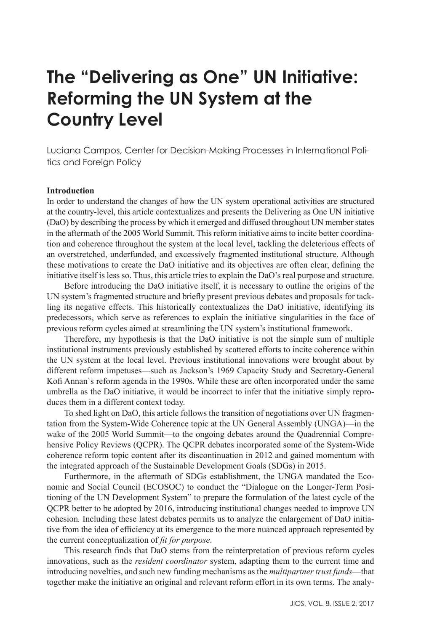# **The "Delivering as One" UN Initiative: Reforming the UN System at the Country Level**

Luciana Campos, Center for Decision-Making Processes in International Politics and Foreign Policy

## **Introduction**

In order to understand the changes of how the UN system operational activities are structured at the country-level, this article contextualizes and presents the Delivering as One UN initiative (DaO) by describing the process by which it emerged and diffused throughout UN member states in the aftermath of the 2005 World Summit. This reform initiative aims to incite better coordination and coherence throughout the system at the local level, tackling the deleterious effects of an overstretched, underfunded, and excessively fragmented institutional structure. Although these motivations to create the DaO initiative and its objectives are often clear, defining the initiative itself is less so. Thus, this article tries to explain the DaO's real purpose and structure.

Before introducing the DaO initiative itself, it is necessary to outline the origins of the UN system's fragmented structure and briefly present previous debates and proposals for tackling its negative effects. This historically contextualizes the DaO initiative, identifying its predecessors, which serve as references to explain the initiative singularities in the face of previous reform cycles aimed at streamlining the UN system's institutional framework.

Therefore, my hypothesis is that the DaO initiative is not the simple sum of multiple institutional instruments previously established by scattered efforts to incite coherence within the UN system at the local level. Previous institutional innovations were brought about by different reform impetuses—such as Jackson's 1969 Capacity Study and Secretary-General Kofi Annan`s reform agenda in the 1990s. While these are often incorporated under the same umbrella as the DaO initiative, it would be incorrect to infer that the initiative simply reproduces them in a different context today.

To shed light on DaO, this article follows the transition of negotiations over UN fragmentation from the System-Wide Coherence topic at the UN General Assembly (UNGA)—in the wake of the 2005 World Summit—to the ongoing debates around the Quadrennial Comprehensive Policy Reviews (QCPR). The QCPR debates incorporated some of the System-Wide coherence reform topic content after its discontinuation in 2012 and gained momentum with the integrated approach of the Sustainable Development Goals (SDGs) in 2015.

Furthermore, in the aftermath of SDGs establishment, the UNGA mandated the Economic and Social Council (ECOSOC) to conduct the "Dialogue on the Longer-Term Positioning of the UN Development System" to prepare the formulation of the latest cycle of the QCPR better to be adopted by 2016, introducing institutional changes needed to improve UN cohesion*.* Including these latest debates permits us to analyze the enlargement of DaO initiative from the idea of efficiency at its emergence to the more nuanced approach represented by the current conceptualization of *fit for purpose*.

This research finds that DaO stems from the reinterpretation of previous reform cycles innovations, such as the *resident coordinator* system, adapting them to the current time and introducing novelties, and such new funding mechanisms as the *multipartner trust funds*—that together make the initiative an original and relevant reform effort in its own terms. The analy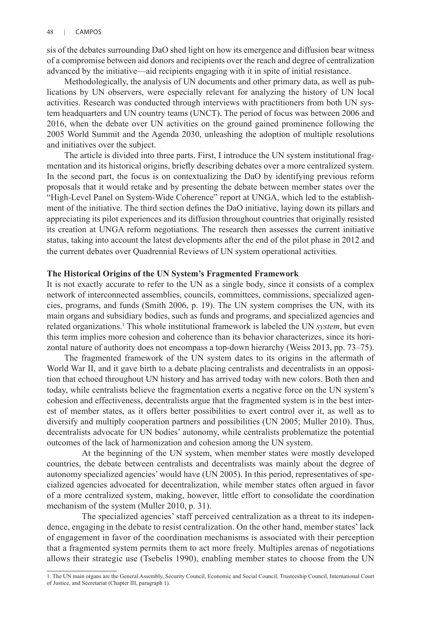sis of the debates surrounding DaO shed light on how its emergence and diffusion bear witness of a compromise between aid donors and recipients over the reach and degree of centralization advanced by the initiative—aid recipients engaging with it in spite of initial resistance.

Methodologically, the analysis of UN documents and other primary data, as well as publications by UN observers, were especially relevant for analyzing the history of UN local activities. Research was conducted through interviews with practitioners from both UN system headquarters and UN country teams (UNCT). The period of focus was between 2006 and 2016, when the debate over UN activities on the ground gained prominence following the 2005 World Summit and the Agenda 2030, unleashing the adoption of multiple resolutions and initiatives over the subject.

The article is divided into three parts. First, I introduce the UN system institutional fragmentation and its historical origins, briefly describing debates over a more centralized system. In the second part, the focus is on contextualizing the DaO by identifying previous reform proposals that it would retake and by presenting the debate between member states over the "High-Level Panel on System-Wide Coherence" report at UNGA, which led to the establishment of the initiative. The third section defines the DaO initiative, laying down its pillars and appreciating its pilot experiences and its diffusion throughout countries that originally resisted its creation at UNGA reform negotiations. The research then assesses the current initiative status, taking into account the latest developments after the end of the pilot phase in 2012 and the current debates over Quadrennial Reviews of UN system operational activities*.* 

#### **The Historical Origins of the UN System's Fragmented Framework**

It is not exactly accurate to refer to the UN as a single body, since it consists of a complex network of interconnected assemblies, councils, committees, commissions, specialized agencies, programs, and funds (Smith 2006, p. 19). The UN system comprises the UN, with its main organs and subsidiary bodies, such as funds and programs, and specialized agencies and related organizations.<sup>1</sup> This whole institutional framework is labeled the UN *system*, but even this term implies more cohesion and coherence than its behavior characterizes, since its horizontal nature of authority does not encompass a top-down hierarchy (Weiss 2013, pp. 73–75).

The fragmented framework of the UN system dates to its origins in the aftermath of World War II, and it gave birth to a debate placing centralists and decentralists in an opposition that echoed throughout UN history and has arrived today with new colors. Both then and today, while centralists believe the fragmentation exerts a negative force on the UN system's cohesion and effectiveness, decentralists argue that the fragmented system is in the best interest of member states, as it offers better possibilities to exert control over it, as well as to diversify and multiply cooperation partners and possibilities (UN 2005; Muller 2010). Thus, decentralists advocate for UN bodies' autonomy, while centralists problematize the potential outcomes of the lack of harmonization and cohesion among the UN system.

At the beginning of the UN system, when member states were mostly developed countries, the debate between centralists and decentralists was mainly about the degree of autonomy specialized agencies' would have (UN 2005). In this period, representatives of specialized agencies advocated for decentralization, while member states often argued in favor of a more centralized system, making, however, little effort to consolidate the coordination mechanism of the system (Muller 2010, p. 31).

The specialized agencies' staff perceived centralization as a threat to its independence, engaging in the debate to resist centralization. On the other hand, member states' lack of engagement in favor of the coordination mechanisms is associated with their perception that a fragmented system permits them to act more freely. Multiples arenas of negotiations allows their strategic use (Tsebelis 1990), enabling member states to choose from the UN

<sup>1.</sup> The UN main organs are the General Assembly, Security Council, Economic and Social Council, Trusteeship Council, International Court of Justice, and Secretariat (Chapter III, paragraph 1).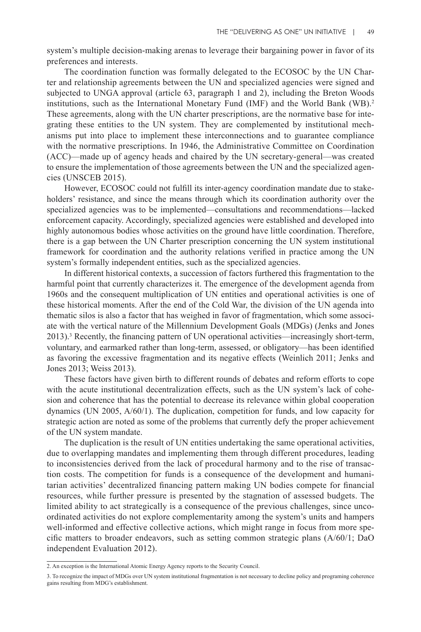system's multiple decision-making arenas to leverage their bargaining power in favor of its preferences and interests.

The coordination function was formally delegated to the ECOSOC by the UN Charter and relationship agreements between the UN and specialized agencies were signed and subjected to UNGA approval (article 63, paragraph 1 and 2), including the Breton Woods institutions, such as the International Monetary Fund (IMF) and the World Bank (WB).2 These agreements, along with the UN charter prescriptions, are the normative base for integrating these entities to the UN system. They are complemented by institutional mechanisms put into place to implement these interconnections and to guarantee compliance with the normative prescriptions. In 1946, the Administrative Committee on Coordination (ACC)—made up of agency heads and chaired by the UN secretary-general—was created to ensure the implementation of those agreements between the UN and the specialized agencies (UNSCEB 2015).

However, ECOSOC could not fulfill its inter-agency coordination mandate due to stakeholders' resistance, and since the means through which its coordination authority over the specialized agencies was to be implemented—consultations and recommendations—lacked enforcement capacity. Accordingly, specialized agencies were established and developed into highly autonomous bodies whose activities on the ground have little coordination. Therefore, there is a gap between the UN Charter prescription concerning the UN system institutional framework for coordination and the authority relations verified in practice among the UN system's formally independent entities, such as the specialized agencies.

In different historical contexts, a succession of factors furthered this fragmentation to the harmful point that currently characterizes it. The emergence of the development agenda from 1960s and the consequent multiplication of UN entities and operational activities is one of these historical moments. After the end of the Cold War, the division of the UN agenda into thematic silos is also a factor that has weighed in favor of fragmentation, which some associate with the vertical nature of the Millennium Development Goals (MDGs) (Jenks and Jones 2013).3 Recently, the financing pattern of UN operational activities—increasingly short-term, voluntary, and earmarked rather than long-term, assessed, or obligatory—has been identified as favoring the excessive fragmentation and its negative effects (Weinlich 2011; Jenks and Jones 2013; Weiss 2013).

These factors have given birth to different rounds of debates and reform efforts to cope with the acute institutional decentralization effects, such as the UN system's lack of cohesion and coherence that has the potential to decrease its relevance within global cooperation dynamics (UN 2005, A/60/1). The duplication, competition for funds, and low capacity for strategic action are noted as some of the problems that currently defy the proper achievement of the UN system mandate.

The duplication is the result of UN entities undertaking the same operational activities, due to overlapping mandates and implementing them through different procedures, leading to inconsistencies derived from the lack of procedural harmony and to the rise of transaction costs. The competition for funds is a consequence of the development and humanitarian activities' decentralized financing pattern making UN bodies compete for financial resources, while further pressure is presented by the stagnation of assessed budgets. The limited ability to act strategically is a consequence of the previous challenges, since uncoordinated activities do not explore complementarity among the system's units and hampers well-informed and effective collective actions, which might range in focus from more specific matters to broader endeavors, such as setting common strategic plans (A/60/1; DaO independent Evaluation 2012).

<sup>2.</sup> An exception is the International Atomic Energy Agency reports to the Security Council.

<sup>3.</sup> To recognize the impact of MDGs over UN system institutional fragmentation is not necessary to decline policy and programing coherence gains resulting from MDG's establishment.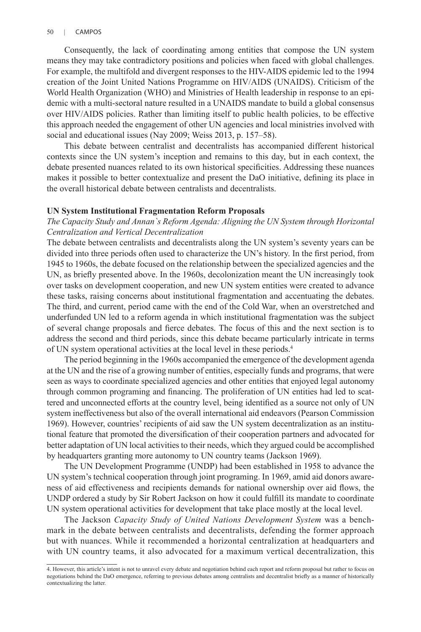Consequently, the lack of coordinating among entities that compose the UN system means they may take contradictory positions and policies when faced with global challenges. For example, the multifold and divergent responses to the HIV-AIDS epidemic led to the 1994 creation of the Joint United Nations Programme on HIV/AIDS (UNAIDS). Criticism of the World Health Organization (WHO) and Ministries of Health leadership in response to an epidemic with a multi-sectoral nature resulted in a UNAIDS mandate to build a global consensus over HIV/AIDS policies. Rather than limiting itself to public health policies, to be effective this approach needed the engagement of other UN agencies and local ministries involved with social and educational issues (Nay 2009; Weiss 2013, p. 157–58).

This debate between centralist and decentralists has accompanied different historical contexts since the UN system's inception and remains to this day, but in each context, the debate presented nuances related to its own historical specificities. Addressing these nuances makes it possible to better contextualize and present the DaO initiative, defining its place in the overall historical debate between centralists and decentralists.

#### **UN System Institutional Fragmentation Reform Proposals**

## *The Capacity Study and Annan`s Reform Agenda: Aligning the UN System through Horizontal Centralization and Vertical Decentralization*

The debate between centralists and decentralists along the UN system's seventy years can be divided into three periods often used to characterize the UN's history. In the first period, from 1945 to 1960s, the debate focused on the relationship between the specialized agencies and the UN, as briefly presented above. In the 1960s, decolonization meant the UN increasingly took over tasks on development cooperation, and new UN system entities were created to advance these tasks, raising concerns about institutional fragmentation and accentuating the debates. The third, and current, period came with the end of the Cold War, when an overstretched and underfunded UN led to a reform agenda in which institutional fragmentation was the subject of several change proposals and fierce debates. The focus of this and the next section is to address the second and third periods, since this debate became particularly intricate in terms of UN system operational activities at the local level in these periods.4

The period beginning in the 1960s accompanied the emergence of the development agenda at the UN and the rise of a growing number of entities, especially funds and programs, that were seen as ways to coordinate specialized agencies and other entities that enjoyed legal autonomy through common programing and financing. The proliferation of UN entities had led to scattered and unconnected efforts at the country level, being identified as a source not only of UN system ineffectiveness but also of the overall international aid endeavors (Pearson Commission 1969). However, countries' recipients of aid saw the UN system decentralization as an institutional feature that promoted the diversification of their cooperation partners and advocated for better adaptation of UN local activities to their needs, which they argued could be accomplished by headquarters granting more autonomy to UN country teams (Jackson 1969).

The UN Development Programme (UNDP) had been established in 1958 to advance the UN system's technical cooperation through joint programing. In 1969, amid aid donors awareness of aid effectiveness and recipients demands for national ownership over aid flows, the UNDP ordered a study by Sir Robert Jackson on how it could fulfill its mandate to coordinate UN system operational activities for development that take place mostly at the local level.

The Jackson *Capacity Study of United Nations Development System* was a benchmark in the debate between centralists and decentralists, defending the former approach but with nuances. While it recommended a horizontal centralization at headquarters and with UN country teams, it also advocated for a maximum vertical decentralization, this

<sup>4.</sup> However, this article's intent is not to unravel every debate and negotiation behind each report and reform proposal but rather to focus on negotiations behind the DaO emergence, referring to previous debates among centralists and decentralist briefly as a manner of historically contextualizing the latter.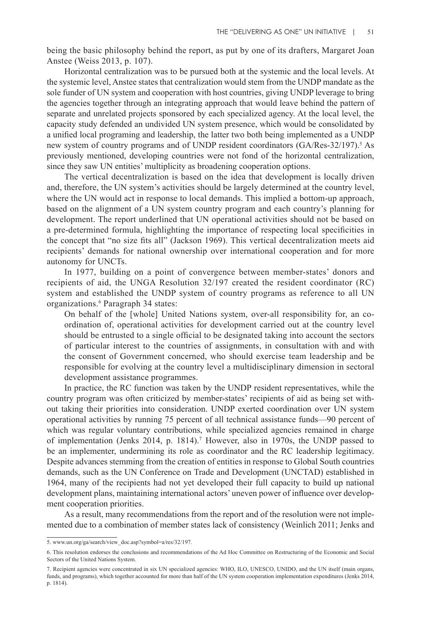being the basic philosophy behind the report, as put by one of its drafters, Margaret Joan Anstee (Weiss 2013, p. 107).

Horizontal centralization was to be pursued both at the systemic and the local levels. At the systemic level, Anstee states that centralization would stem from the UNDP mandate as the sole funder of UN system and cooperation with host countries, giving UNDP leverage to bring the agencies together through an integrating approach that would leave behind the pattern of separate and unrelated projects sponsored by each specialized agency. At the local level, the capacity study defended an undivided UN system presence, which would be consolidated by a unified local programing and leadership, the latter two both being implemented as a UNDP new system of country programs and of UNDP resident coordinators (GA/Res-32/197).<sup>5</sup> As previously mentioned, developing countries were not fond of the horizontal centralization, since they saw UN entities' multiplicity as broadening cooperation options.

The vertical decentralization is based on the idea that development is locally driven and, therefore, the UN system's activities should be largely determined at the country level, where the UN would act in response to local demands. This implied a bottom-up approach, based on the alignment of a UN system country program and each country's planning for development. The report underlined that UN operational activities should not be based on a pre-determined formula, highlighting the importance of respecting local specificities in the concept that "no size fits all" (Jackson 1969). This vertical decentralization meets aid recipients' demands for national ownership over international cooperation and for more autonomy for UNCTs.

In 1977, building on a point of convergence between member-states' donors and recipients of aid, the UNGA Resolution 32/197 created the resident coordinator (RC) system and established the UNDP system of country programs as reference to all UN organizations.<sup>6</sup> Paragraph 34 states:

On behalf of the [whole] United Nations system, over-all responsibility for, an coordination of, operational activities for development carried out at the country level should be entrusted to a single official to be designated taking into account the sectors of particular interest to the countries of assignments, in consultation with and with the consent of Government concerned, who should exercise team leadership and be responsible for evolving at the country level a multidisciplinary dimension in sectoral development assistance programmes.

In practice, the RC function was taken by the UNDP resident representatives, while the country program was often criticized by member-states' recipients of aid as being set without taking their priorities into consideration. UNDP exerted coordination over UN system operational activities by running 75 percent of all technical assistance funds—90 percent of which was regular voluntary contributions, while specialized agencies remained in charge of implementation (Jenks 2014, p. 1814).<sup>7</sup> However, also in 1970s, the UNDP passed to be an implementer, undermining its role as coordinator and the RC leadership legitimacy. Despite advances stemming from the creation of entities in response to Global South countries demands, such as the UN Conference on Trade and Development (UNCTAD) established in 1964, many of the recipients had not yet developed their full capacity to build up national development plans, maintaining international actors' uneven power of influence over development cooperation priorities.

As a result, many recommendations from the report and of the resolution were not implemented due to a combination of member states lack of consistency (Weinlich 2011; Jenks and

<sup>5.</sup> www.un.org/ga/search/view\_doc.asp?symbol=a/res/32/197.

<sup>6.</sup> This resolution endorses the conclusions and recommendations of the Ad Hoc Committee on Restructuring of the Economic and Social Sectors of the United Nations System.

<sup>7.</sup> Recipient agencies were concentrated in six UN specialized agencies: WHO, ILO, UNESCO, UNIDO, and the UN itself (main organs, funds, and programs), which together accounted for more than half of the UN system cooperation implementation expenditures (Jenks 2014, p. 1814).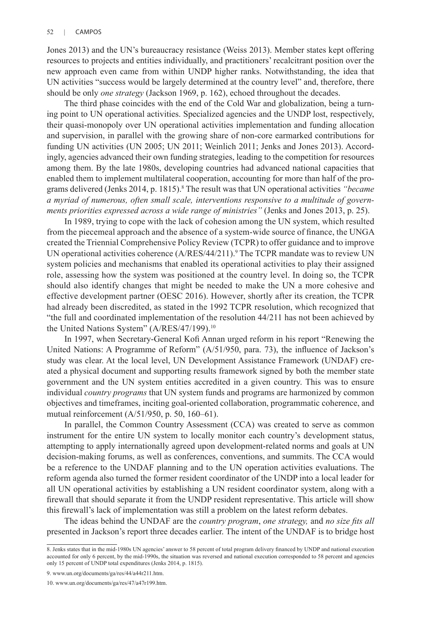Jones 2013) and the UN's bureaucracy resistance (Weiss 2013). Member states kept offering resources to projects and entities individually, and practitioners' recalcitrant position over the new approach even came from within UNDP higher ranks. Notwithstanding, the idea that UN activities "success would be largely determined at the country level" and, therefore, there should be only *one strategy* (Jackson 1969, p. 162), echoed throughout the decades.

The third phase coincides with the end of the Cold War and globalization, being a turning point to UN operational activities. Specialized agencies and the UNDP lost, respectively, their quasi-monopoly over UN operational activities implementation and funding allocation and supervision, in parallel with the growing share of non-core earmarked contributions for funding UN activities (UN 2005; UN 2011; Weinlich 2011; Jenks and Jones 2013). Accordingly, agencies advanced their own funding strategies, leading to the competition for resources among them. By the late 1980s, developing countries had advanced national capacities that enabled them to implement multilateral cooperation, accounting for more than half of the programs delivered (Jenks 2014, p. 1815).<sup>8</sup> The result was that UN operational activities *"became a myriad of numerous, often small scale, interventions responsive to a multitude of governments priorities expressed across a wide range of ministries"* (Jenks and Jones 2013, p. 25).

In 1989, trying to cope with the lack of cohesion among the UN system, which resulted from the piecemeal approach and the absence of a system-wide source of finance, the UNGA created the Triennial Comprehensive Policy Review (TCPR) to offer guidance and to improve UN operational activities coherence  $(A/RES/44/211)$ .<sup>9</sup> The TCPR mandate was to review UN system policies and mechanisms that enabled its operational activities to play their assigned role, assessing how the system was positioned at the country level. In doing so, the TCPR should also identify changes that might be needed to make the UN a more cohesive and effective development partner (OESC 2016). However, shortly after its creation, the TCPR had already been discredited, as stated in the 1992 TCPR resolution, which recognized that "the full and coordinated implementation of the resolution 44/211 has not been achieved by the United Nations System" (A/RES/47/199).<sup>10</sup>

In 1997, when Secretary-General Kofi Annan urged reform in his report "Renewing the United Nations: A Programme of Reform" (A/51/950, para. 73), the influence of Jackson's study was clear. At the local level, UN Development Assistance Framework (UNDAF) created a physical document and supporting results framework signed by both the member state government and the UN system entities accredited in a given country. This was to ensure individual *country programs* that UN system funds and programs are harmonized by common objectives and timeframes, inciting goal-oriented collaboration, programmatic coherence, and mutual reinforcement (A/51/950, p. 50, 160–61).

In parallel, the Common Country Assessment (CCA) was created to serve as common instrument for the entire UN system to locally monitor each country's development status, attempting to apply internationally agreed upon development-related norms and goals at UN decision-making forums, as well as conferences, conventions, and summits. The CCA would be a reference to the UNDAF planning and to the UN operation activities evaluations. The reform agenda also turned the former resident coordinator of the UNDP into a local leader for all UN operational activities by establishing a UN resident coordinator system, along with a firewall that should separate it from the UNDP resident representative. This article will show this firewall's lack of implementation was still a problem on the latest reform debates.

The ideas behind the UNDAF are the *country program*, *one strategy,* and *no size fits all* presented in Jackson's report three decades earlier. The intent of the UNDAF is to bridge host

<sup>8.</sup> Jenks states that in the mid-1980s UN agencies' answer to 58 percent of total program delivery financed by UNDP and national execution accounted for only 6 percent, by the mid-1990s, the situation was reversed and national execution corresponded to 58 percent and agencies only 15 percent of UNDP total expenditures (Jenks 2014, p. 1815).

<sup>9.</sup> www.un.org/documents/ga/res/44/a44r211.htm.

<sup>10.</sup> www.un.org/documents/ga/res/47/a47r199.htm.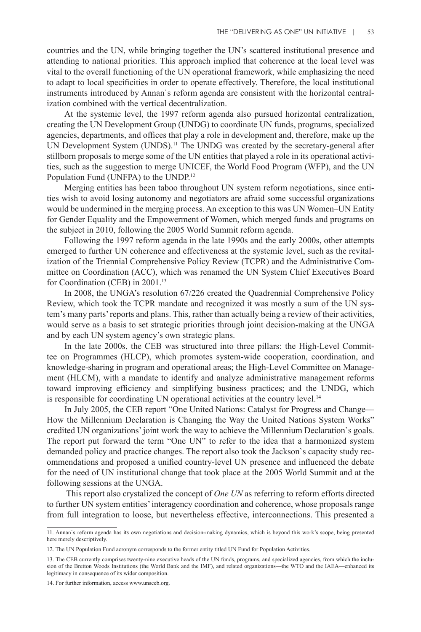countries and the UN, while bringing together the UN's scattered institutional presence and attending to national priorities. This approach implied that coherence at the local level was vital to the overall functioning of the UN operational framework, while emphasizing the need to adapt to local specificities in order to operate effectively. Therefore, the local institutional instruments introduced by Annan`s reform agenda are consistent with the horizontal centralization combined with the vertical decentralization.

At the systemic level, the 1997 reform agenda also pursued horizontal centralization, creating the UN Development Group (UNDG) to coordinate UN funds, programs, specialized agencies, departments, and offices that play a role in development and, therefore, make up the UN Development System (UNDS).<sup>11</sup> The UNDG was created by the secretary-general after stillborn proposals to merge some of the UN entities that played a role in its operational activities, such as the suggestion to merge UNICEF, the World Food Program (WFP), and the UN Population Fund (UNFPA) to the UNDP.12

Merging entities has been taboo throughout UN system reform negotiations, since entities wish to avoid losing autonomy and negotiators are afraid some successful organizations would be undermined in the merging process. An exception to this was UN Women–UN Entity for Gender Equality and the Empowerment of Women, which merged funds and programs on the subject in 2010, following the 2005 World Summit reform agenda.

Following the 1997 reform agenda in the late 1990s and the early 2000s, other attempts emerged to further UN coherence and effectiveness at the systemic level, such as the revitalization of the Triennial Comprehensive Policy Review (TCPR) and the Administrative Committee on Coordination (ACC), which was renamed the UN System Chief Executives Board for Coordination (CEB) in 2001.13

In 2008, the UNGA's resolution 67/226 created the Quadrennial Comprehensive Policy Review, which took the TCPR mandate and recognized it was mostly a sum of the UN system's many parts' reports and plans. This, rather than actually being a review of their activities, would serve as a basis to set strategic priorities through joint decision-making at the UNGA and by each UN system agency's own strategic plans.

In the late 2000s, the CEB was structured into three pillars: the High-Level Committee on Programmes (HLCP), which promotes system-wide cooperation, coordination, and knowledge-sharing in program and operational areas; the High-Level Committee on Management (HLCM), with a mandate to identify and analyze administrative management reforms toward improving efficiency and simplifying business practices; and the UNDG, which is responsible for coordinating UN operational activities at the country level.<sup>14</sup>

In July 2005, the CEB report "One United Nations: Catalyst for Progress and Change— How the Millennium Declaration is Changing the Way the United Nations System Works" credited UN organizations' joint work the way to achieve the Millennium Declaration`s goals. The report put forward the term "One UN" to refer to the idea that a harmonized system demanded policy and practice changes. The report also took the Jackson`s capacity study recommendations and proposed a unified country-level UN presence and influenced the debate for the need of UN institutional change that took place at the 2005 World Summit and at the following sessions at the UNGA.

 This report also crystalized the concept of *One UN* as referring to reform efforts directed to further UN system entities' interagency coordination and coherence, whose proposals range from full integration to loose, but nevertheless effective, interconnections. This presented a

<sup>11.</sup> Annan`s reform agenda has its own negotiations and decision-making dynamics, which is beyond this work's scope, being presented here merely descriptively.

<sup>12.</sup> The UN Population Fund acronym corresponds to the former entity titled UN Fund for Population Activities.

<sup>13.</sup> The CEB currently comprises twenty-nine executive heads of the UN funds, programs, and specialized agencies, from which the inclusion of the Bretton Woods Institutions (the World Bank and the IMF), and related organizations—the WTO and the IAEA—enhanced its legitimacy in consequence of its wider composition.

<sup>14.</sup> For further information, access www.unsceb.org.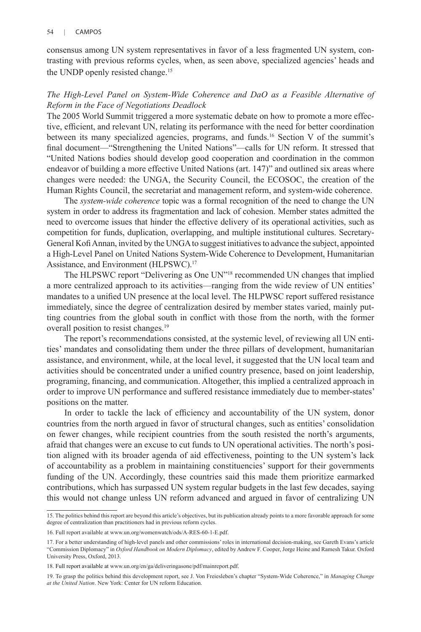consensus among UN system representatives in favor of a less fragmented UN system, contrasting with previous reforms cycles, when, as seen above, specialized agencies' heads and the UNDP openly resisted change.<sup>15</sup>

## *The High-Level Panel on System-Wide Coherence and DaO as a Feasible Alternative of Reform in the Face of Negotiations Deadlock*

The 2005 World Summit triggered a more systematic debate on how to promote a more effective, efficient, and relevant UN, relating its performance with the need for better coordination between its many specialized agencies, programs, and funds.16 Section V of the summit's final document—"Strengthening the United Nations"—calls for UN reform. It stressed that "United Nations bodies should develop good cooperation and coordination in the common endeavor of building a more effective United Nations (art. 147)" and outlined six areas where changes were needed: the UNGA, the Security Council, the ECOSOC, the creation of the Human Rights Council, the secretariat and management reform, and system-wide coherence.

The *system-wide coherence* topic was a formal recognition of the need to change the UN system in order to address its fragmentation and lack of cohesion. Member states admitted the need to overcome issues that hinder the effective delivery of its operational activities, such as competition for funds, duplication, overlapping, and multiple institutional cultures. Secretary-General Kofi Annan, invited by the UNGA to suggest initiatives to advance the subject, appointed a High-Level Panel on United Nations System-Wide Coherence to Development, Humanitarian Assistance, and Environment (HLPSWC).<sup>17</sup>

The HLPSWC report "Delivering as One UN"18 recommended UN changes that implied a more centralized approach to its activities—ranging from the wide review of UN entities' mandates to a unified UN presence at the local level. The HLPWSC report suffered resistance immediately, since the degree of centralization desired by member states varied, mainly putting countries from the global south in conflict with those from the north, with the former overall position to resist changes.<sup>19</sup>

The report's recommendations consisted, at the systemic level, of reviewing all UN entities' mandates and consolidating them under the three pillars of development, humanitarian assistance, and environment, while, at the local level, it suggested that the UN local team and activities should be concentrated under a unified country presence, based on joint leadership, programing, financing, and communication. Altogether, this implied a centralized approach in order to improve UN performance and suffered resistance immediately due to member-states' positions on the matter.

In order to tackle the lack of efficiency and accountability of the UN system, donor countries from the north argued in favor of structural changes, such as entities' consolidation on fewer changes, while recipient countries from the south resisted the north's arguments, afraid that changes were an excuse to cut funds to UN operational activities. The north's position aligned with its broader agenda of aid effectiveness, pointing to the UN system's lack of accountability as a problem in maintaining constituencies' support for their governments funding of the UN. Accordingly, these countries said this made them prioritize earmarked contributions, which has surpassed UN system regular budgets in the last few decades, saying this would not change unless UN reform advanced and argued in favor of centralizing UN

<sup>15.</sup> The politics behind this report are beyond this article's objectives, but its publication already points to a more favorable approach for some degree of centralization than practitioners had in previous reform cycles.

<sup>16.</sup> Full report available at www.un.org/womenwatch/ods/A-RES-60-1-E.pdf.

<sup>17.</sup> For a better understanding of high-level panels and other commissions' roles in international decision-making, see Gareth Evans's article "Commission Diplomacy" in *Oxford Handbook on Modern Diplomacy*, edited by Andrew F. Cooper, Jorge Heine and Ramesh Takur. Oxford University Press, Oxford, 2013.

<sup>18.</sup> Full report available at www.un.org/en/ga/deliveringasone/pdf/mainreport.pdf.

<sup>19.</sup> To grasp the politics behind this development report, see J. Von Freiesleben's chapter "System-Wide Coherence," in *Managing Change at the United Nation*. New York: Center for UN reform Education.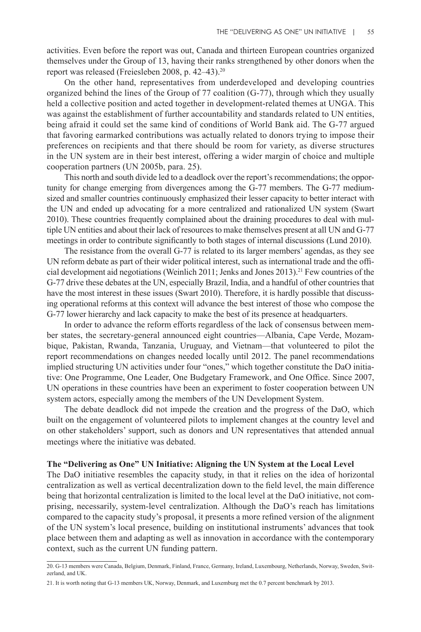activities. Even before the report was out, Canada and thirteen European countries organized themselves under the Group of 13, having their ranks strengthened by other donors when the report was released (Freiesleben 2008, p. 42–43).20

On the other hand, representatives from underdeveloped and developing countries organized behind the lines of the Group of 77 coalition (G-77), through which they usually held a collective position and acted together in development-related themes at UNGA. This was against the establishment of further accountability and standards related to UN entities, being afraid it could set the same kind of conditions of World Bank aid. The G-77 argued that favoring earmarked contributions was actually related to donors trying to impose their preferences on recipients and that there should be room for variety, as diverse structures in the UN system are in their best interest, offering a wider margin of choice and multiple cooperation partners (UN 2005b, para. 25).

This north and south divide led to a deadlock over the report's recommendations; the opportunity for change emerging from divergences among the G-77 members. The G-77 mediumsized and smaller countries continuously emphasized their lesser capacity to better interact with the UN and ended up advocating for a more centralized and rationalized UN system (Swart 2010). These countries frequently complained about the draining procedures to deal with multiple UN entities and about their lack of resources to make themselves present at all UN and G-77 meetings in order to contribute significantly to both stages of internal discussions (Lund 2010).

The resistance from the overall G-77 is related to its larger members' agendas, as they see UN reform debate as part of their wider political interest, such as international trade and the official development aid negotiations (Weinlich 2011; Jenks and Jones 2013).<sup>21</sup> Few countries of the G-77 drive these debates at the UN, especially Brazil, India, and a handful of other countries that have the most interest in these issues (Swart 2010). Therefore, it is hardly possible that discussing operational reforms at this context will advance the best interest of those who compose the G-77 lower hierarchy and lack capacity to make the best of its presence at headquarters.

In order to advance the reform efforts regardless of the lack of consensus between member states, the secretary-general announced eight countries—Albania, Cape Verde, Mozambique, Pakistan, Rwanda, Tanzania, Uruguay, and Vietnam—that volunteered to pilot the report recommendations on changes needed locally until 2012. The panel recommendations implied structuring UN activities under four "ones," which together constitute the DaO initiative: One Programme, One Leader, One Budgetary Framework, and One Office. Since 2007, UN operations in these countries have been an experiment to foster cooperation between UN system actors, especially among the members of the UN Development System.

The debate deadlock did not impede the creation and the progress of the DaO, which built on the engagement of volunteered pilots to implement changes at the country level and on other stakeholders' support, such as donors and UN representatives that attended annual meetings where the initiative was debated.

#### **The "Delivering as One" UN Initiative: Aligning the UN System at the Local Level**

The DaO initiative resembles the capacity study, in that it relies on the idea of horizontal centralization as well as vertical decentralization down to the field level, the main difference being that horizontal centralization is limited to the local level at the DaO initiative, not comprising, necessarily, system-level centralization. Although the DaO's reach has limitations compared to the capacity study's proposal, it presents a more refined version of the alignment of the UN system's local presence, building on institutional instruments' advances that took place between them and adapting as well as innovation in accordance with the contemporary context, such as the current UN funding pattern.

<sup>20.</sup> G-13 members were Canada, Belgium, Denmark, Finland, France, Germany, Ireland, Luxembourg, Netherlands, Norway, Sweden, Switzerland, and UK.

<sup>21.</sup> It is worth noting that G-13 members UK, Norway, Denmark, and Luxemburg met the 0.7 percent benchmark by 2013.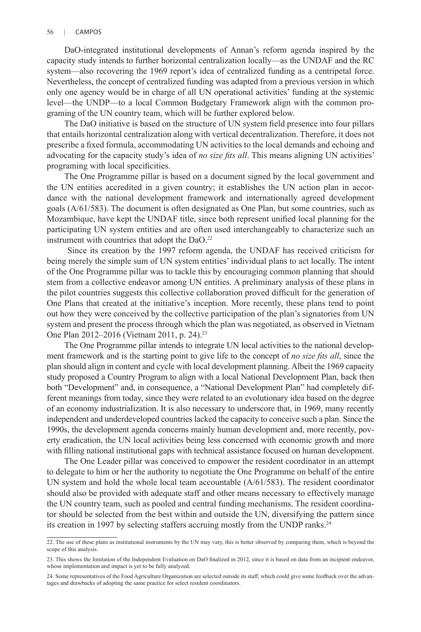#### 56 | CAMPOS

DaO-integrated institutional developments of Annan's reform agenda inspired by the capacity study intends to further horizontal centralization locally—as the UNDAF and the RC system—also recovering the 1969 report's idea of centralized funding as a centripetal force. Nevertheless, the concept of centralized funding was adapted from a previous version in which only one agency would be in charge of all UN operational activities' funding at the systemic level—the UNDP—to a local Common Budgetary Framework align with the common programing of the UN country team, which will be further explored below.

The DaO initiative is based on the structure of UN system field presence into four pillars that entails horizontal centralization along with vertical decentralization. Therefore, it does not prescribe a fixed formula, accommodating UN activities to the local demands and echoing and advocating for the capacity study's idea of *no size fits all*. This means aligning UN activities' programing with local specificities.

The One Programme pillar is based on a document signed by the local government and the UN entities accredited in a given country; it establishes the UN action plan in accordance with the national development framework and internationally agreed development goals (A/61/583). The document is often designated as One Plan, but some countries, such as Mozambique, have kept the UNDAF title, since both represent unified local planning for the participating UN system entities and are often used interchangeably to characterize such an instrument with countries that adopt the DaO.<sup>22</sup>

 Since its creation by the 1997 reform agenda, the UNDAF has received criticism for being merely the simple sum of UN system entities' individual plans to act locally. The intent of the One Programme pillar was to tackle this by encouraging common planning that should stem from a collective endeavor among UN entities. A preliminary analysis of these plans in the pilot countries suggests this collective collaboration proved difficult for the generation of One Plans that created at the initiative's inception. More recently, these plans tend to point out how they were conceived by the collective participation of the plan's signatories from UN system and present the process through which the plan was negotiated, as observed in Vietnam One Plan 2012–2016 (Vietnam 2011, p. 24).23

The One Programme pillar intends to integrate UN local activities to the national development framework and is the starting point to give life to the concept of *no size fits all*, since the plan should align in content and cycle with local development planning. Albeit the 1969 capacity study proposed a Country Program to align with a local National Development Plan, back then both "Development" and, in consequence, a "National Development Plan" had completely different meanings from today, since they were related to an evolutionary idea based on the degree of an economy industrialization. It is also necessary to underscore that, in 1969, many recently independent and underdeveloped countries lacked the capacity to conceive such a plan. Since the 1990s, the development agenda concerns mainly human development and, more recently, poverty eradication, the UN local activities being less concerned with economic growth and more with filling national institutional gaps with technical assistance focused on human development.

The One Leader pillar was conceived to empower the resident coordinator in an attempt to delegate to him or her the authority to negotiate the One Programme on behalf of the entire UN system and hold the whole local team accountable (A/61/583). The resident coordinator should also be provided with adequate staff and other means necessary to effectively manage the UN country team, such as pooled and central funding mechanisms. The resident coordinator should be selected from the best within and outside the UN, diversifying the pattern since its creation in 1997 by selecting staffers accruing mostly from the UNDP ranks.<sup>24</sup>

<sup>22.</sup> The use of these plans as institutional instruments by the UN may vary, this is better observed by comparing them, which is beyond the scope of this analysis.

<sup>23.</sup> This shows the limitation of the Independent Evaluation on DaO finalized in 2012, since it is based on data from an incipient endeavor, whose implementation and impact is yet to be fully analyzed.

<sup>24.</sup> Some representatives of the Food Agriculture Organization are selected outside its staff, which could give some feedback over the advantages and drawbacks of adopting the same practice for select resident coordinators.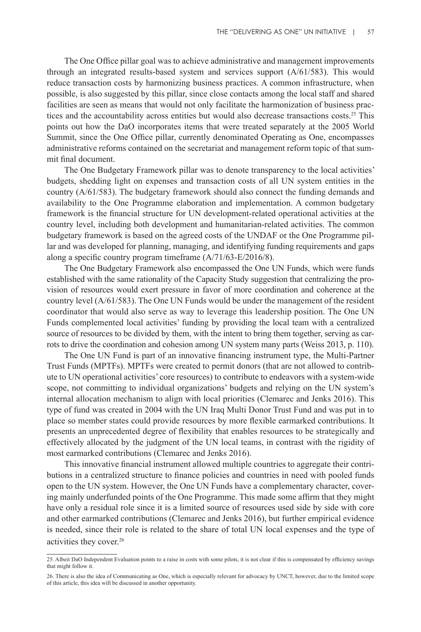The One Office pillar goal was to achieve administrative and management improvements through an integrated results-based system and services support (A/61/583). This would reduce transaction costs by harmonizing business practices. A common infrastructure, when possible, is also suggested by this pillar, since close contacts among the local staff and shared facilities are seen as means that would not only facilitate the harmonization of business practices and the accountability across entities but would also decrease transactions costs.<sup>25</sup> This points out how the DaO incorporates items that were treated separately at the 2005 World Summit, since the One Office pillar, currently denominated Operating as One, encompasses administrative reforms contained on the secretariat and management reform topic of that summit final document.

The One Budgetary Framework pillar was to denote transparency to the local activities' budgets, shedding light on expenses and transaction costs of all UN system entities in the country (A/61/583). The budgetary framework should also connect the funding demands and availability to the One Programme elaboration and implementation. A common budgetary framework is the financial structure for UN development-related operational activities at the country level, including both development and humanitarian-related activities. The common budgetary framework is based on the agreed costs of the UNDAF or the One Programme pillar and was developed for planning, managing, and identifying funding requirements and gaps along a specific country program timeframe (A/71/63-E/2016/8).

The One Budgetary Framework also encompassed the One UN Funds, which were funds established with the same rationality of the Capacity Study suggestion that centralizing the provision of resources would exert pressure in favor of more coordination and coherence at the country level (A/61/583). The One UN Funds would be under the management of the resident coordinator that would also serve as way to leverage this leadership position. The One UN Funds complemented local activities' funding by providing the local team with a centralized source of resources to be divided by them, with the intent to bring them together, serving as carrots to drive the coordination and cohesion among UN system many parts (Weiss 2013, p. 110).

The One UN Fund is part of an innovative financing instrument type, the Multi-Partner Trust Funds (MPTFs). MPTFs were created to permit donors (that are not allowed to contribute to UN operational activities' core resources) to contribute to endeavors with a system-wide scope, not committing to individual organizations' budgets and relying on the UN system's internal allocation mechanism to align with local priorities (Clemarec and Jenks 2016). This type of fund was created in 2004 with the UN Iraq Multi Donor Trust Fund and was put in to place so member states could provide resources by more flexible earmarked contributions. It presents an unprecedented degree of flexibility that enables resources to be strategically and effectively allocated by the judgment of the UN local teams, in contrast with the rigidity of most earmarked contributions (Clemarec and Jenks 2016).

This innovative financial instrument allowed multiple countries to aggregate their contributions in a centralized structure to finance policies and countries in need with pooled funds open to the UN system. However, the One UN Funds have a complementary character, covering mainly underfunded points of the One Programme. This made some affirm that they might have only a residual role since it is a limited source of resources used side by side with core and other earmarked contributions (Clemarec and Jenks 2016), but further empirical evidence is needed, since their role is related to the share of total UN local expenses and the type of activities they cover.<sup>26</sup>

<sup>25.</sup> Albeit DaO Independent Evaluation points to a raise in costs with some pilots, it is not clear if this is compensated by efficiency savings that might follow it.

<sup>26.</sup> There is also the idea of Communicating as One, which is especially relevant for advocacy by UNCT, however, due to the limited scope of this article, this idea will be discussed in another opportunity.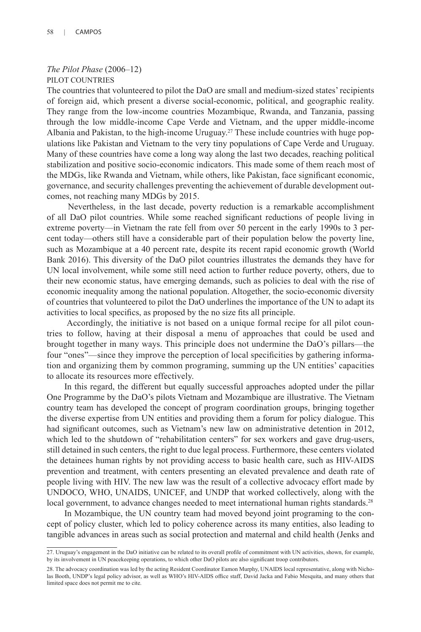## *The Pilot Phase* (2006–12) PILOT COUNTRIES

The countries that volunteered to pilot the DaO are small and medium-sized states' recipients of foreign aid, which present a diverse social-economic, political, and geographic reality. They range from the low-income countries Mozambique, Rwanda, and Tanzania, passing through the low middle-income Cape Verde and Vietnam, and the upper middle-income Albania and Pakistan, to the high-income Uruguay.27 These include countries with huge populations like Pakistan and Vietnam to the very tiny populations of Cape Verde and Uruguay. Many of these countries have come a long way along the last two decades, reaching political stabilization and positive socio-economic indicators. This made some of them reach most of the MDGs, like Rwanda and Vietnam, while others, like Pakistan, face significant economic, governance, and security challenges preventing the achievement of durable development outcomes, not reaching many MDGs by 2015.

 Nevertheless, in the last decade, poverty reduction is a remarkable accomplishment of all DaO pilot countries. While some reached significant reductions of people living in extreme poverty—in Vietnam the rate fell from over 50 percent in the early 1990s to 3 percent today—others still have a considerable part of their population below the poverty line, such as Mozambique at a 40 percent rate, despite its recent rapid economic growth (World Bank 2016). This diversity of the DaO pilot countries illustrates the demands they have for UN local involvement, while some still need action to further reduce poverty, others, due to their new economic status, have emerging demands, such as policies to deal with the rise of economic inequality among the national population. Altogether, the socio-economic diversity of countries that volunteered to pilot the DaO underlines the importance of the UN to adapt its activities to local specifics, as proposed by the no size fits all principle.

 Accordingly, the initiative is not based on a unique formal recipe for all pilot countries to follow, having at their disposal a menu of approaches that could be used and brought together in many ways. This principle does not undermine the DaO's pillars—the four "ones"—since they improve the perception of local specificities by gathering information and organizing them by common programing, summing up the UN entities' capacities to allocate its resources more effectively.

In this regard, the different but equally successful approaches adopted under the pillar One Programme by the DaO's pilots Vietnam and Mozambique are illustrative. The Vietnam country team has developed the concept of program coordination groups, bringing together the diverse expertise from UN entities and providing them a forum for policy dialogue. This had significant outcomes, such as Vietnam's new law on administrative detention in 2012, which led to the shutdown of "rehabilitation centers" for sex workers and gave drug-users, still detained in such centers, the right to due legal process. Furthermore, these centers violated the detainees human rights by not providing access to basic health care, such as HIV-AIDS prevention and treatment, with centers presenting an elevated prevalence and death rate of people living with HIV. The new law was the result of a collective advocacy effort made by UNDOCO, WHO, UNAIDS, UNICEF, and UNDP that worked collectively, along with the local government, to advance changes needed to meet international human rights standards.<sup>28</sup>

In Mozambique, the UN country team had moved beyond joint programing to the concept of policy cluster, which led to policy coherence across its many entities, also leading to tangible advances in areas such as social protection and maternal and child health (Jenks and

<sup>27.</sup> Uruguay's engagement in the DaO initiative can be related to its overall profile of commitment with UN activities, shown, for example, by its involvement in UN peacekeeping operations, to which other DaO pilots are also significant troop contributors.

<sup>28.</sup> The advocacy coordination was led by the acting Resident Coordinator Eamon Murphy, UNAIDS local representative, along with Nicho-<br>las Booth, UNDP's legal policy advisor, as well as WHO's HIV-AIDS office staff, David Ja limited space does not permit me to cite.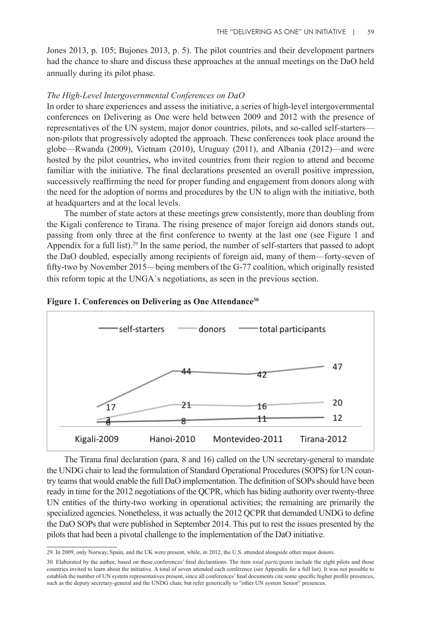Jones 2013, p. 105; Bujones 2013, p. 5). The pilot countries and their development partners had the chance to share and discuss these approaches at the annual meetings on the DaO held annually during its pilot phase.

#### *The High-Level Intergovernmental Conferences on DaO*

In order to share experiences and assess the initiative, a series of high-level intergovernmental conferences on Delivering as One were held between 2009 and 2012 with the presence of representatives of the UN system, major donor countries, pilots, and so-called self-starters non-pilots that progressively adopted the approach. These conferences took place around the globe—Rwanda (2009), Vietnam (2010), Uruguay (2011), and Albania (2012)—and were hosted by the pilot countries, who invited countries from their region to attend and become familiar with the initiative. The final declarations presented an overall positive impression, successively reaffirming the need for proper funding and engagement from donors along with the need for the adoption of norms and procedures by the UN to align with the initiative, both at headquarters and at the local levels.

The number of state actors at these meetings grew consistently, more than doubling from the Kigali conference to Tirana. The rising presence of major foreign aid donors stands out, passing from only three at the first conference to twenty at the last one (see Figure 1 and Appendix for a full list).29 In the same period, the number of self-starters that passed to adopt the DaO doubled, especially among recipients of foreign aid, many of them—forty-seven of fifty-two by November 2015—being members of the G-77 coalition, which originally resisted this reform topic at the UNGA`s negotiations, as seen in the previous section.



#### **Figure 1. Conferences on Delivering as One Attendance30**

The Tirana final declaration (para. 8 and 16) called on the UN secretary-general to mandate the UNDG chair to lead the formulation of Standard Operational Procedures (SOPS) for UN country teams that would enable the full DaO implementation. The definition of SOPs should have been ready in time for the 2012 negotiations of the QCPR, which has biding authority over twenty-three UN entities of the thirty-two working in operational activities; the remaining are primarily the specialized agencies. Nonetheless, it was actually the 2012 QCPR that demanded UNDG to define the DaO SOPs that were published in September 2014. This put to rest the issues presented by the pilots that had been a pivotal challenge to the implementation of the DaO initiative.

<sup>29.</sup> In 2009, only Norway, Spain, and the UK were present, while, in 2012, the U.S. attended alongside other major donors.

<sup>30.</sup> Elaborated by the author, based on these conferences' final declarations. The item *total participants* include the eight pilots and those countries invited to learn about the initiative. A total of seven attended each conference (see Appendix for a full list). It was not possible to establish the number of UN system representatives present, since all conferences' final documents cite some specific higher profile presences, such as the deputy secretary-general and the UNDG chair, but refer generically to "other UN system Senior" presences.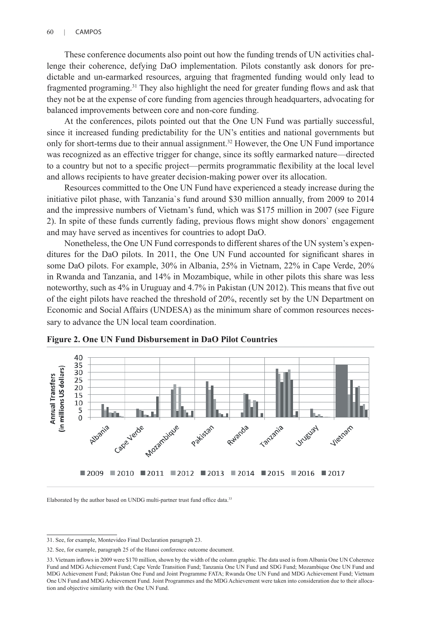These conference documents also point out how the funding trends of UN activities challenge their coherence, defying DaO implementation. Pilots constantly ask donors for predictable and un-earmarked resources, arguing that fragmented funding would only lead to fragmented programing.31 They also highlight the need for greater funding flows and ask that they not be at the expense of core funding from agencies through headquarters, advocating for balanced improvements between core and non-core funding.

At the conferences, pilots pointed out that the One UN Fund was partially successful, since it increased funding predictability for the UN's entities and national governments but only for short-terms due to their annual assignment.<sup>32</sup> However, the One UN Fund importance was recognized as an effective trigger for change, since its softly earmarked nature—directed to a country but not to a specific project—permits programmatic flexibility at the local level and allows recipients to have greater decision-making power over its allocation.

Resources committed to the One UN Fund have experienced a steady increase during the initiative pilot phase, with Tanzania`s fund around \$30 million annually, from 2009 to 2014 and the impressive numbers of Vietnam's fund, which was \$175 million in 2007 (see Figure 2). In spite of these funds currently fading, previous flows might show donors` engagement and may have served as incentives for countries to adopt DaO.

Nonetheless, the One UN Fund corresponds to different shares of the UN system's expenditures for the DaO pilots. In 2011, the One UN Fund accounted for significant shares in some DaO pilots. For example, 30% in Albania, 25% in Vietnam, 22% in Cape Verde, 20% in Rwanda and Tanzania, and 14% in Mozambique, while in other pilots this share was less noteworthy, such as 4% in Uruguay and 4.7% in Pakistan (UN 2012). This means that five out of the eight pilots have reached the threshold of 20%, recently set by the UN Department on Economic and Social Affairs (UNDESA) as the minimum share of common resources necessary to advance the UN local team coordination.



**Figure 2. One UN Fund Disbursement in DaO Pilot Countries**

Elaborated by the author based on UNDG multi-partner trust fund office data.<sup>33</sup>

<sup>31.</sup> See, for example, Montevideo Final Declaration paragraph 23.

<sup>32.</sup> See, for example, paragraph 25 of the Hanoi conference outcome document.

<sup>33.</sup> Vietnam inflows in 2009 were \$170 million, shown by the width of the column graphic. The data used is from Albania One UN Coherence Fund and MDG Achievement Fund; Cape Verde Transition Fund; Tanzania One UN Fund and SDG Fund; Mozambique One UN Fund and MDG Achievement Fund; Pakistan One Fund and Joint Programme FATA; Rwanda One UN Fund and MDG Achievement Fund; Vietnam One UN Fund and MDG Achievement Fund*.* Joint Programmes and the MDG Achievement were taken into consideration due to their allocation and objective similarity with the One UN Fund.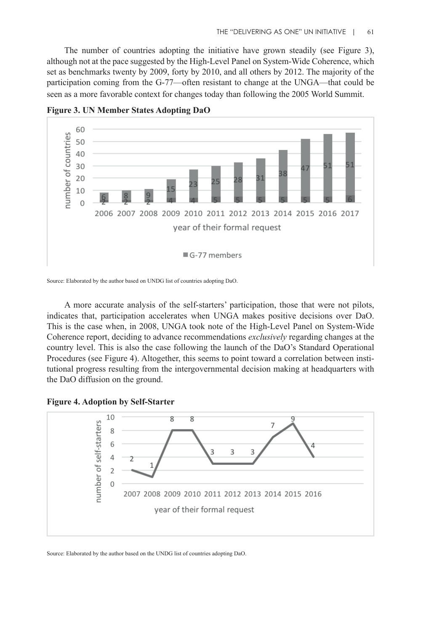The number of countries adopting the initiative have grown steadily (see Figure 3), although not at the pace suggested by the High-Level Panel on System-Wide Coherence, which set as benchmarks twenty by 2009, forty by 2010, and all others by 2012. The majority of the participation coming from the G-77—often resistant to change at the UNGA—that could be seen as a more favorable context for changes today than following the 2005 World Summit.



**Figure 3. UN Member States Adopting DaO**

A more accurate analysis of the self-starters' participation, those that were not pilots, indicates that, participation accelerates when UNGA makes positive decisions over DaO. This is the case when, in 2008, UNGA took note of the High-Level Panel on System-Wide Coherence report, deciding to advance recommendations *exclusively* regarding changes at the country level. This is also the case following the launch of the DaO's Standard Operational Procedures (see Figure 4). Altogether, this seems to point toward a correlation between institutional progress resulting from the intergovernmental decision making at headquarters with the DaO diffusion on the ground.





Source: Elaborated by the author based on the UNDG list of countries adopting DaO.

Source: Elaborated by the author based on UNDG list of countries adopting DaO.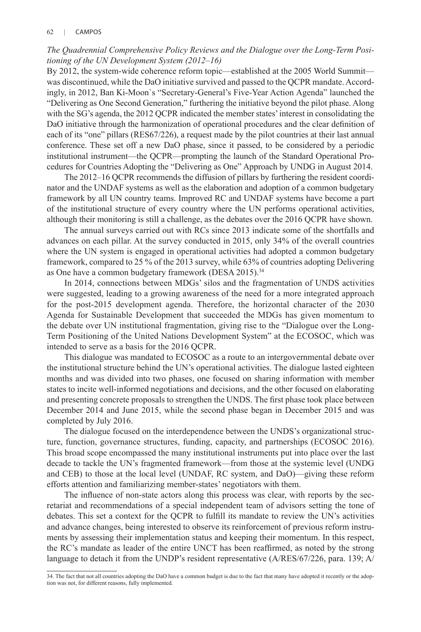## *The Quadrennial Comprehensive Policy Reviews and the Dialogue over the Long-Term Positioning of the UN Development System (2012–16)*

By 2012, the system-wide coherence reform topic—established at the 2005 World Summit was discontinued, while the DaO initiative survived and passed to the QCPR mandate. Accordingly, in 2012, Ban Ki-Moon`s "Secretary-General's Five-Year Action Agenda" launched the "Delivering as One Second Generation," furthering the initiative beyond the pilot phase. Along with the SG's agenda, the 2012 QCPR indicated the member states' interest in consolidating the DaO initiative through the harmonization of operational procedures and the clear definition of each of its "one" pillars (RES67/226), a request made by the pilot countries at their last annual conference. These set off a new DaO phase, since it passed, to be considered by a periodic institutional instrument—the QCPR—prompting the launch of the Standard Operational Procedures for Countries Adopting the "Delivering as One" Approach by UNDG in August 2014.

The 2012–16 QCPR recommends the diffusion of pillars by furthering the resident coordinator and the UNDAF systems as well as the elaboration and adoption of a common budgetary framework by all UN country teams. Improved RC and UNDAF systems have become a part of the institutional structure of every country where the UN performs operational activities, although their monitoring is still a challenge, as the debates over the 2016 QCPR have shown.

The annual surveys carried out with RCs since 2013 indicate some of the shortfalls and advances on each pillar. At the survey conducted in 2015, only 34% of the overall countries where the UN system is engaged in operational activities had adopted a common budgetary framework, compared to 25 % of the 2013 survey, while 63% of countries adopting Delivering as One have a common budgetary framework (DESA 2015).<sup>34</sup>

In 2014, connections between MDGs' silos and the fragmentation of UNDS activities were suggested, leading to a growing awareness of the need for a more integrated approach for the post-2015 development agenda. Therefore, the horizontal character of the 2030 Agenda for Sustainable Development that succeeded the MDGs has given momentum to the debate over UN institutional fragmentation, giving rise to the "Dialogue over the Long-Term Positioning of the United Nations Development System" at the ECOSOC, which was intended to serve as a basis for the 2016 QCPR.

This dialogue was mandated to ECOSOC as a route to an intergovernmental debate over the institutional structure behind the UN's operational activities. The dialogue lasted eighteen months and was divided into two phases, one focused on sharing information with member states to incite well-informed negotiations and decisions, and the other focused on elaborating and presenting concrete proposals to strengthen the UNDS. The first phase took place between December 2014 and June 2015, while the second phase began in December 2015 and was completed by July 2016.

The dialogue focused on the interdependence between the UNDS's organizational structure, function, governance structures, funding, capacity, and partnerships (ECOSOC 2016). This broad scope encompassed the many institutional instruments put into place over the last decade to tackle the UN's fragmented framework—from those at the systemic level (UNDG and CEB) to those at the local level (UNDAF, RC system, and DaO)—giving these reform efforts attention and familiarizing member-states' negotiators with them.

The influence of non-state actors along this process was clear, with reports by the secretariat and recommendations of a special independent team of advisors setting the tone of debates. This set a context for the QCPR to fulfill its mandate to review the UN's activities and advance changes, being interested to observe its reinforcement of previous reform instruments by assessing their implementation status and keeping their momentum. In this respect, the RC's mandate as leader of the entire UNCT has been reaffirmed, as noted by the strong language to detach it from the UNDP's resident representative (A/RES/67/226, para. 139; A/

<sup>34.</sup> The fact that not all countries adopting the DaO have a common budget is due to the fact that many have adopted it recently or the adoption was not, for different reasons, fully implemented.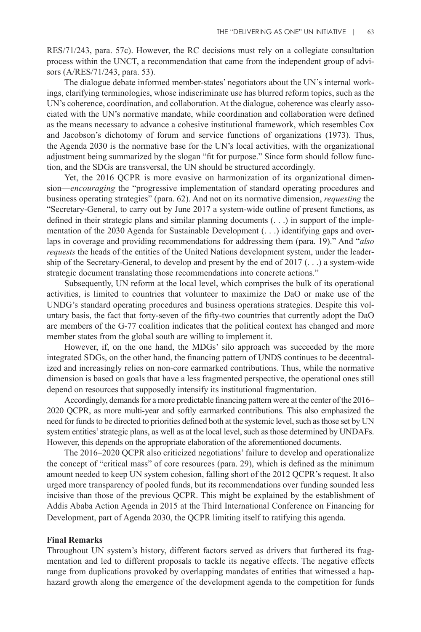RES/71/243, para. 57c). However, the RC decisions must rely on a collegiate consultation process within the UNCT, a recommendation that came from the independent group of advisors (A/RES/71/243, para. 53).

The dialogue debate informed member-states' negotiators about the UN's internal workings, clarifying terminologies, whose indiscriminate use has blurred reform topics, such as the UN's coherence, coordination, and collaboration. At the dialogue, coherence was clearly associated with the UN's normative mandate, while coordination and collaboration were defined as the means necessary to advance a cohesive institutional framework, which resembles Cox and Jacobson's dichotomy of forum and service functions of organizations (1973). Thus, the Agenda 2030 is the normative base for the UN's local activities, with the organizational adjustment being summarized by the slogan "fit for purpose." Since form should follow function, and the SDGs are transversal, the UN should be structured accordingly.

Yet, the 2016 QCPR is more evasive on harmonization of its organizational dimension—*encouraging* the "progressive implementation of standard operating procedures and business operating strategies" (para. 62). And not on its normative dimension, *requesting* the "Secretary-General, to carry out by June 2017 a system-wide outline of present functions, as defined in their strategic plans and similar planning documents (. . .) in support of the implementation of the 2030 Agenda for Sustainable Development (. . .) identifying gaps and overlaps in coverage and providing recommendations for addressing them (para. 19)." And "*also requests* the heads of the entities of the United Nations development system, under the leadership of the Secretary-General, to develop and present by the end of  $2017$  (...) a system-wide strategic document translating those recommendations into concrete actions."

Subsequently, UN reform at the local level, which comprises the bulk of its operational activities, is limited to countries that volunteer to maximize the DaO or make use of the UNDG's standard operating procedures and business operations strategies. Despite this voluntary basis, the fact that forty-seven of the fifty-two countries that currently adopt the DaO are members of the G-77 coalition indicates that the political context has changed and more member states from the global south are willing to implement it.

However, if, on the one hand, the MDGs' silo approach was succeeded by the more integrated SDGs, on the other hand, the financing pattern of UNDS continues to be decentralized and increasingly relies on non-core earmarked contributions. Thus, while the normative dimension is based on goals that have a less fragmented perspective, the operational ones still depend on resources that supposedly intensify its institutional fragmentation.

Accordingly, demands for a more predictable financing pattern were at the center of the 2016– 2020 QCPR, as more multi-year and softly earmarked contributions. This also emphasized the need for funds to be directed to priorities defined both at the systemic level, such as those set by UN system entities' strategic plans, as well as at the local level, such as those determined by UNDAFs. However, this depends on the appropriate elaboration of the aforementioned documents.

The 2016–2020 QCPR also criticized negotiations' failure to develop and operationalize the concept of "critical mass" of core resources (para. 29), which is defined as the minimum amount needed to keep UN system cohesion, falling short of the 2012 QCPR's request. It also urged more transparency of pooled funds, but its recommendations over funding sounded less incisive than those of the previous QCPR. This might be explained by the establishment of Addis Ababa Action Agenda in 2015 at the Third International Conference on Financing for Development, part of Agenda 2030, the QCPR limiting itself to ratifying this agenda.

## **Final Remarks**

Throughout UN system's history, different factors served as drivers that furthered its fragmentation and led to different proposals to tackle its negative effects. The negative effects range from duplications provoked by overlapping mandates of entities that witnessed a haphazard growth along the emergence of the development agenda to the competition for funds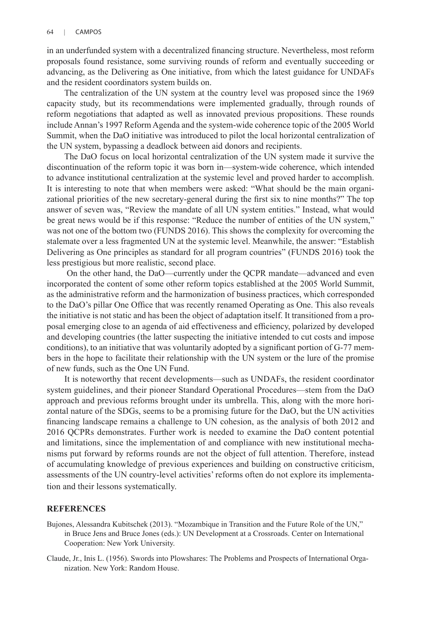in an underfunded system with a decentralized financing structure. Nevertheless, most reform proposals found resistance, some surviving rounds of reform and eventually succeeding or advancing, as the Delivering as One initiative, from which the latest guidance for UNDAFs and the resident coordinators system builds on.

The centralization of the UN system at the country level was proposed since the 1969 capacity study, but its recommendations were implemented gradually, through rounds of reform negotiations that adapted as well as innovated previous propositions. These rounds include Annan's 1997 Reform Agenda and the system-wide coherence topic of the 2005 World Summit, when the DaO initiative was introduced to pilot the local horizontal centralization of the UN system, bypassing a deadlock between aid donors and recipients.

The DaO focus on local horizontal centralization of the UN system made it survive the discontinuation of the reform topic it was born in—system-wide coherence, which intended to advance institutional centralization at the systemic level and proved harder to accomplish. It is interesting to note that when members were asked: "What should be the main organizational priorities of the new secretary-general during the first six to nine months?" The top answer of seven was, "Review the mandate of all UN system entities." Instead, what would be great news would be if this response: "Reduce the number of entities of the UN system," was not one of the bottom two (FUNDS 2016). This shows the complexity for overcoming the stalemate over a less fragmented UN at the systemic level. Meanwhile, the answer: "Establish Delivering as One principles as standard for all program countries" (FUNDS 2016) took the less prestigious but more realistic, second place.

 On the other hand, the DaO—currently under the QCPR mandate—advanced and even incorporated the content of some other reform topics established at the 2005 World Summit, as the administrative reform and the harmonization of business practices, which corresponded to the DaO's pillar One Office that was recently renamed Operating as One. This also reveals the initiative is not static and has been the object of adaptation itself. It transitioned from a proposal emerging close to an agenda of aid effectiveness and efficiency, polarized by developed and developing countries (the latter suspecting the initiative intended to cut costs and impose conditions), to an initiative that was voluntarily adopted by a significant portion of G-77 members in the hope to facilitate their relationship with the UN system or the lure of the promise of new funds, such as the One UN Fund.

It is noteworthy that recent developments—such as UNDAFs, the resident coordinator system guidelines, and their pioneer Standard Operational Procedures—stem from the DaO approach and previous reforms brought under its umbrella. This, along with the more horizontal nature of the SDGs, seems to be a promising future for the DaO, but the UN activities financing landscape remains a challenge to UN cohesion, as the analysis of both 2012 and 2016 QCPRs demonstrates. Further work is needed to examine the DaO content potential and limitations, since the implementation of and compliance with new institutional mechanisms put forward by reforms rounds are not the object of full attention. Therefore, instead of accumulating knowledge of previous experiences and building on constructive criticism, assessments of the UN country-level activities' reforms often do not explore its implementation and their lessons systematically.

#### **REFERENCES**

- Bujones, Alessandra Kubitschek (2013). "Mozambique in Transition and the Future Role of the UN," in Bruce Jens and Bruce Jones (eds.): UN Development at a Crossroads. Center on International Cooperation: New York University.
- Claude, Jr., Inis L. (1956). Swords into Plowshares: The Problems and Prospects of International Organization. New York: Random House.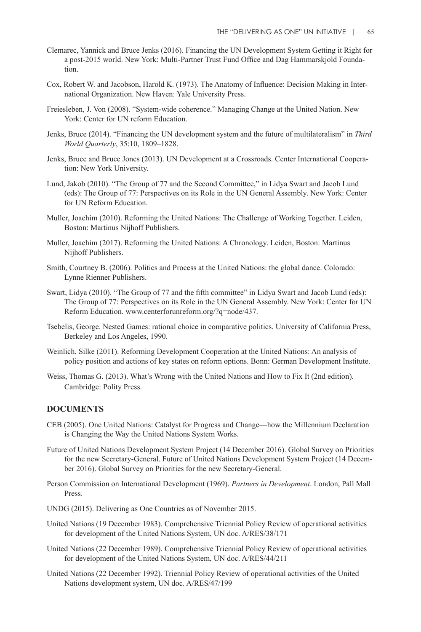- Clemarec, Yannick and Bruce Jenks (2016). Financing the UN Development System Getting it Right for a post-2015 world. New York: Multi-Partner Trust Fund Office and Dag Hammarskjold Foundation.
- Cox, Robert W. and Jacobson, Harold K. (1973). The Anatomy of Influence: Decision Making in International Organization. New Haven: Yale University Press.
- Freiesleben, J. Von (2008). "System-wide coherence." Managing Change at the United Nation. New York: Center for UN reform Education.
- Jenks, Bruce (2014). "Financing the UN development system and the future of multilateralism" in *Third World Quarterly*, 35:10, 1809–1828.
- Jenks, Bruce and Bruce Jones (2013). UN Development at a Crossroads. Center International Cooperation: New York University.
- Lund, Jakob (2010). "The Group of 77 and the Second Committee," in Lidya Swart and Jacob Lund (eds): The Group of 77: Perspectives on its Role in the UN General Assembly. New York: Center for UN Reform Education.
- Muller, Joachim (2010). Reforming the United Nations: The Challenge of Working Together. Leiden, Boston: Martinus Nijhoff Publishers.
- Muller, Joachim (2017). Reforming the United Nations: A Chronology. Leiden, Boston: Martinus Nijhoff Publishers.
- Smith, Courtney B. (2006). Politics and Process at the United Nations: the global dance. Colorado: Lynne Rienner Publishers.
- Swart, Lidya (2010). "The Group of 77 and the fifth committee" in Lidya Swart and Jacob Lund (eds): The Group of 77: Perspectives on its Role in the UN General Assembly. New York: Center for UN Reform Education. www.centerforunreform.org/?q=node/437.
- Tsebelis, George. Nested Games: rational choice in comparative politics. University of California Press, Berkeley and Los Angeles, 1990.
- Weinlich, Silke (2011). Reforming Development Cooperation at the United Nations: An analysis of policy position and actions of key states on reform options. Bonn: German Development Institute.
- Weiss, Thomas G. (2013). What's Wrong with the United Nations and How to Fix It (2nd edition)*.* Cambridge: Polity Press.

#### **DOCUMENTS**

- CEB (2005). One United Nations: Catalyst for Progress and Change—how the Millennium Declaration is Changing the Way the United Nations System Works.
- Future of United Nations Development System Project (14 December 2016). Global Survey on Priorities for the new Secretary-General. Future of United Nations Development System Project (14 December 2016). Global Survey on Priorities for the new Secretary-General.
- Person Commission on International Development (1969). *Partners in Development*. London, Pall Mall Press.
- UNDG (2015). Delivering as One Countries as of November 2015.
- United Nations (19 December 1983). Comprehensive Triennial Policy Review of operational activities for development of the United Nations System, UN doc. A/RES/38/171
- United Nations (22 December 1989). Comprehensive Triennial Policy Review of operational activities for development of the United Nations System, UN doc. A/RES/44/211
- United Nations (22 December 1992). Triennial Policy Review of operational activities of the United Nations development system, UN doc. A/RES/47/199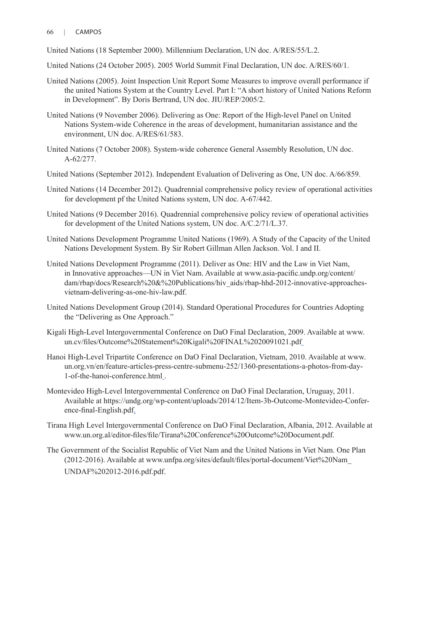#### 66 | CAMPOS

United Nations (18 September 2000). Millennium Declaration, UN doc. A/RES/55/L.2.

- United Nations (24 October 2005). 2005 World Summit Final Declaration, UN doc. A/RES/60/1.
- United Nations (2005). Joint Inspection Unit Report Some Measures to improve overall performance if the united Nations System at the Country Level. Part I: "A short history of United Nations Reform in Development". By Doris Bertrand, UN doc. JIU/REP/2005/2.
- United Nations (9 November 2006). Delivering as One: Report of the High-level Panel on United Nations System-wide Coherence in the areas of development, humanitarian assistance and the environment, UN doc. A/RES/61/583.
- United Nations (7 October 2008). System-wide coherence General Assembly Resolution, UN doc. A-62/277.
- United Nations (September 2012). Independent Evaluation of Delivering as One, UN doc. A/66/859.
- United Nations (14 December 2012). Quadrennial comprehensive policy review of operational activities for development pf the United Nations system, UN doc. A-67/442.
- United Nations (9 December 2016). Quadrennial comprehensive policy review of operational activities for development of the United Nations system, UN doc. A/C.2/71/L.37.
- United Nations Development Programme United Nations (1969). A Study of the Capacity of the United Nations Development System. By Sir Robert Gillman Allen Jackson. Vol. I and II.
- United Nations Development Programme (2011). Deliver as One: HIV and the Law in Viet Nam, in Innovative approaches—UN in Viet Nam. Available at www.asia-pacific.undp.org/content/ dam/rbap/docs/Research%20&%20Publications/hiv\_aids/rbap-hhd-2012-innovative-approachesvietnam-delivering-as-one-hiv-law.pdf.
- United Nations Development Group (2014). Standard Operational Procedures for Countries Adopting the "Delivering as One Approach."
- Kigali High-Level Intergovernmental Conference on DaO Final Declaration, 2009. Available at www. un.cv/files/Outcome%20Statement%20Kigali%20FINAL%2020091021.pdf
- Hanoi High-Level Tripartite Conference on DaO Final Declaration, Vietnam, 2010. Available at www. un.org.vn/en/feature-articles-press-centre-submenu-252/1360-presentations-a-photos-from-day-1-of-the-hanoi-conference.html .
- Montevideo High-Level Intergovernmental Conference on DaO Final Declaration, Uruguay, 2011. Available at https://undg.org/wp-content/uploads/2014/12/Item-3b-Outcome-Montevideo-Conference-final-English.pdf.
- Tirana High Level Intergovernmental Conference on DaO Final Declaration, Albania, 2012. Available at www.un.org.al/editor-files/file/Tirana%20Conference%20Outcome%20Document.pdf.
- The Government of the Socialist Republic of Viet Nam and the United Nations in Viet Nam. One Plan (2012-2016). Available at www.unfpa.org/sites/default/files/portal-document/Viet%20Nam\_ UNDAF%202012-2016.pdf.pdf.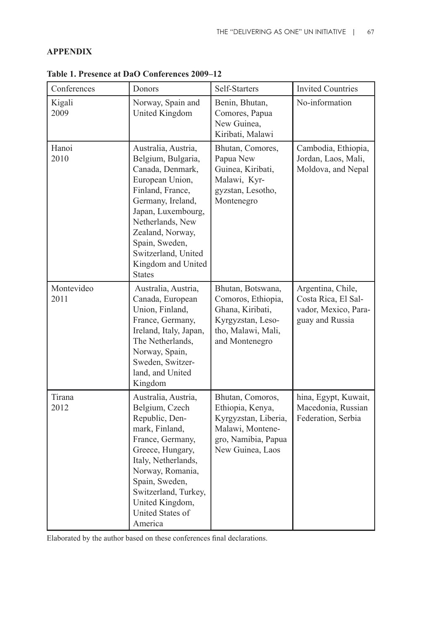## **APPENDIX**

| Conferences        | Donors                                                                                                                                                                                                                                                                  | Self-Starters                                                                                                               | <b>Invited Countries</b>                                                            |
|--------------------|-------------------------------------------------------------------------------------------------------------------------------------------------------------------------------------------------------------------------------------------------------------------------|-----------------------------------------------------------------------------------------------------------------------------|-------------------------------------------------------------------------------------|
| Kigali<br>2009     | Norway, Spain and<br>United Kingdom                                                                                                                                                                                                                                     | Benin, Bhutan,<br>Comores, Papua<br>New Guinea,<br>Kiribati, Malawi                                                         | No-information                                                                      |
| Hanoi<br>2010      | Australia, Austria,<br>Belgium, Bulgaria,<br>Canada, Denmark,<br>European Union,<br>Finland, France,<br>Germany, Ireland,<br>Japan, Luxembourg,<br>Netherlands, New<br>Zealand, Norway,<br>Spain, Sweden,<br>Switzerland, United<br>Kingdom and United<br><b>States</b> | Bhutan, Comores,<br>Papua New<br>Guinea, Kiribati,<br>Malawi, Kyr-<br>gyzstan, Lesotho,<br>Montenegro                       | Cambodia, Ethiopia,<br>Jordan, Laos, Mali,<br>Moldova, and Nepal                    |
| Montevideo<br>2011 | Australia, Austria,<br>Canada, European<br>Union, Finland,<br>France, Germany,<br>Ireland, Italy, Japan,<br>The Netherlands,<br>Norway, Spain,<br>Sweden, Switzer-<br>land, and United<br>Kingdom                                                                       | Bhutan, Botswana,<br>Comoros, Ethiopia,<br>Ghana, Kiribati,<br>Kyrgyzstan, Leso-<br>tho, Malawi, Mali,<br>and Montenegro    | Argentina, Chile,<br>Costa Rica, El Sal-<br>vador, Mexico, Para-<br>guay and Russia |
| Tirana<br>2012     | Australia, Austria,<br>Belgium, Czech<br>Republic, Den-<br>mark, Finland,<br>France, Germany,<br>Greece, Hungary,<br>Italy, Netherlands,<br>Norway, Romania,<br>Spain, Sweden,<br>Switzerland, Turkey,<br>United Kingdom,<br>United States of<br>America                | Bhutan, Comoros,<br>Ethiopia, Kenya,<br>Kyrgyzstan, Liberia,<br>Malawi, Montene-<br>gro, Namibia, Papua<br>New Guinea, Laos | hina, Egypt, Kuwait,<br>Macedonia, Russian<br>Federation, Serbia                    |

**Table 1. Presence at DaO Conferences 2009–12**

Elaborated by the author based on these conferences final declarations.